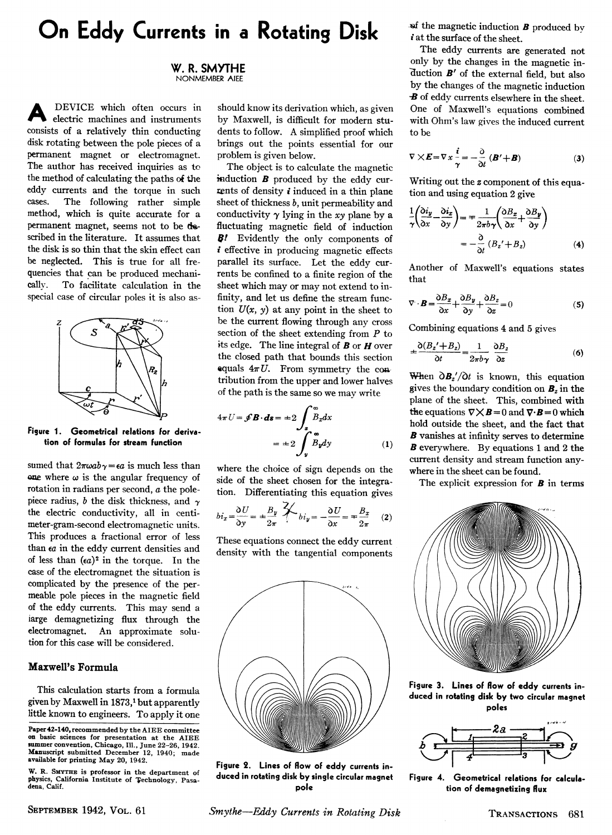# **On Eddy Currents in a Rotating Disk**

**W. R. SMYTHE NONMEMBER AIEE** 

A DEVICE which often occurs in electric machines and instruments consists of a relatively thin conducting disk rotating between the pole pieces of a permanent magnet or electromagnet. The author has received inquiries as to the method of calculating the paths of the eddy currents and the torque in such cases. The following rather simple method, which is quite accurate for a permanent magnet, seems not to be described in the literature. It assumes that the disk is so thin that the skin effect can be neglected. This is true for all frequencies that can be produced mechanically. To facilitate calculation in the special case of circular poles it is also as-



**Figure 1. Geometrical relations for derivation of formulas for stream function** 

sumed that  $2\pi\omega ab\gamma = \epsilon a$  is much less than one where  $\omega$  is the angular frequency of rotation in radians per second, *a* the polepiece radius, *b* the disk thickness, and *y*  the electric conductivity, all in centimeter-gram-second electromagnetic units. This produces a fractional error of less than *ea* in the eddy current densities and of less than *(ea)<sup>2</sup>* in the torque. In the case of the electromagnet the situation is complicated by the presence of the permeable pole pieces in the magnetic field of the eddy currents. This may send a iarge demagnetizing flux through the electromagnet. An approximate solution for this case will be considered.

## **Maxwell's Formula**

This calculation starts from a formula given by Maxwell in 1873,<sup>1</sup> but apparently little known to engineers. To apply it one

should know its derivation which, as given by Maxwell, is difficult for modern students to follow. A simplified proof which brings out the points essential for our problem is given below.

The object is to calculate the magnetic induction *Β* produced by the eddy currents of density  $i$  induced in a thin plane sheet of thickness *b,* unit permeability and conductivity  $\gamma$  lying in the *xy* plane by a fluctuating magnetic field of induction *Bf* Evidently the only components of  $i$  effective in producing magnetic effects parallel its surface. Let the eddy currents be confined to a finite region of the sheet which may or may not extend to infinity, and let us define the stream function  $U(x, y)$  at any point in the sheet to be the current flowing through any cross section of the sheet extending from *Ρ* to its edge. The line integral of *Β* or *Η* over the closed path that bounds this section equals  $4\pi U$ . From symmetry the contribution from the upper and lower halves of the path is the same so we may write

$$
4\pi U = \mathcal{J}B \cdot d\mathbf{s} = \pm 2 \int_{\mathbf{z}}^{\infty} B_x dx
$$

$$
= \pm 2 \int_{\mathbf{y}}^{\infty} B_y dy \tag{1}
$$

where the choice of sign depends on the side of the sheet chosen for the integration. Differentiating this equation gives

$$
bi_x = \frac{\partial U}{\partial y} = \pm \frac{B_y}{2\pi} \stackrel{\text{2}}{\overbrace{\phantom{y}}}\quad bi_y = -\frac{\partial U}{\partial x} = \mp \frac{B_x}{2\pi} \quad (2)
$$

These equations connect the eddy current density with the tangential components



**Figure 2. Lines of flow of eddy currents induced in rotating disk by single circular magnet pole** 

jsf the magnetic induction *Β* produced by at the surface of the sheet.

The eddy currents are generated not only by the changes in the magnetic in- "duction *B'* of the external field, but also by the changes of the magnetic induction *B* of eddy currents elsewhere in the sheet. One of Maxwell's equations combined with Ohm's law gives the induced current to be

$$
\nabla \times \boldsymbol{E} = \nabla \, x \, \frac{i}{\gamma} = - \frac{\partial}{\partial t} \, (\boldsymbol{B}' + \boldsymbol{B}) \tag{3}
$$

Writing out the *z* component of this equation and using equation 2 give

$$
\frac{1}{\gamma} \left( \frac{\partial i_y}{\partial x} - \frac{\partial i_x}{\partial y} \right) = \mp \frac{1}{2\pi b \gamma} \left( \frac{\partial B_x}{\partial x} + \frac{\partial B_y}{\partial y} \right)
$$

$$
= -\frac{\partial}{\partial t} (B_z' + B_z) \tag{4}
$$

Another of Maxwell's equations states that

$$
\nabla \cdot \boldsymbol{B} = \frac{\partial B_x}{\partial x} + \frac{\partial B_y}{\partial y} + \frac{\partial B_z}{\partial z} = 0
$$
 (5)

Combining equations 4 and 5 gives

$$
\pm \frac{\partial (B_z' + B_z)}{\partial t} = \frac{1}{2\pi b\gamma} \frac{\partial B_z}{\partial z}
$$
 (6)

When  $\partial B_z'/\partial t$  is known, this equation gives the boundary condition on  $B_z$  in the plane of the sheet. This, combined with the equations  $\nabla \times \mathbf{B} = 0$  and  $\nabla \cdot \mathbf{B} = 0$  which hold outside the sheet, and the fact that **B** vanishes at infinity serves to determine **B** everywhere. By equations 1 and 2 the current density and stream function anywhere in the sheet can be found.

The explicit expression for *Β* in terms



**Figure 3. Lines of flow of eddy currents induced in rotating disk by two circular magnet poles** 



**Figure 4. Geometrical relations for calculation of demagnetizing flux** 

SEPTEMBER 1942, VOL. 61 *Smythe—Eddy Currents in Rotating Disk* TRANSACTIONS 681

**Paper42-140, recommended by the AIEE committee on basic sciences for presentation at the AIEE summer convention, Chicago, 111., June 22-26, 1942. Manuscript submitted December 12, 1940; made available for printing May 20, 1942.** 

W. R. SMYTHE is professor in the department of **physics, California Institute of Technology, Pasa-dena, Calif.**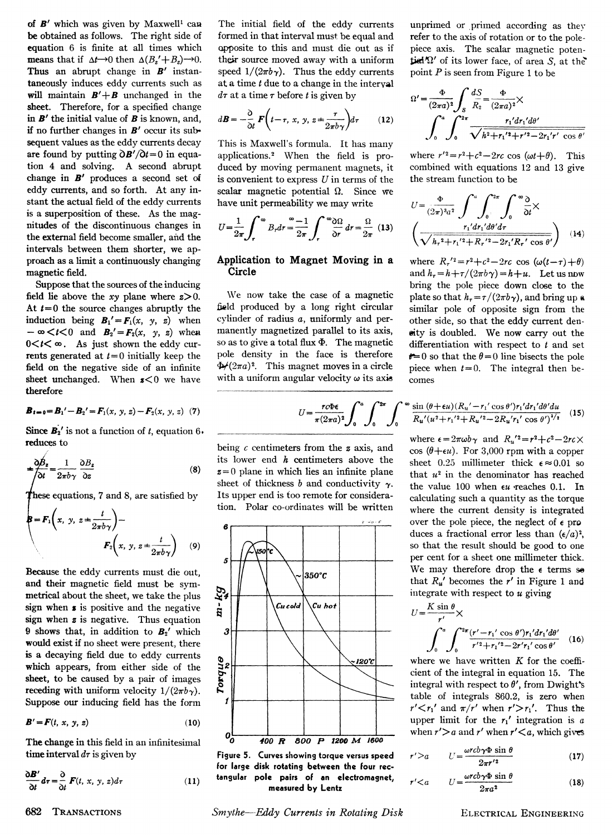of **B'** which was given by Maxwell<sup>1</sup> can be obtained as follows. The right side of equation 6 is finite at all times which **means** that if  $\Delta t \rightarrow 0$  then  $\Delta (B_z' + B_z) \rightarrow 0$ . Thus an abrupt change in *Β'* instantaneously induces eddy currents such as will maintain  $B' + B$  unchanged in the sheet. Therefore, for a specified change in *Β'* the initial value of *Β* is known, and, if no further changes in *Β'* occur its subsequent values as the eddy currents decay are found by putting  $\partial \mathbf{B}'/\partial t = 0$  in equation 4 and solving. A second abrupt change in **B**<sup>*f*</sup> produces a second set of eddy currents, and so forth. At any instant the actual field of the eddy currents is a superposition of these. As the magnitudes of the discontinuous changes in the external field become smaller, and the intervals between them shorter, we approach as a limit a continuously changing magnetic field.

Suppose that the sources of the inducing field lie above the *xy* plane where  $z > 0$ . At  $t=0$  the source changes abruptly the induction being  $B_1' = F_1(x, y, z)$  when  $-\infty < t < 0$  and  $B_2' = F_2(x, y, z)$  when  $0 < t < \infty$ . As just shown the eddy currents generated at  $t = 0$  initially keep the field on the negative side of an infinite sheet unchanged. When  $s < 0$  we have therefore

$$
\boldsymbol{B}_{t=0} = \boldsymbol{B}_1' - \boldsymbol{B}_2' = \boldsymbol{F}_1(x, y, z) - \boldsymbol{F}_2(x, y, z) \tag{7}
$$

Since  $B_2$ <sup>'</sup> is not a function of *t*, equation 6. reduces to

$$
\pm \frac{\partial \beta_z}{\partial t} = \frac{1}{2\pi b \gamma} \frac{\partial B_z}{\partial z} \tag{8}
$$

these equations, 7 and 8, are satisfied by **f** =  $\mathbf{F}_1(x, y, z = \frac{1}{2\pi b\gamma})$  - $(9)$  $\mathbf{F}_2(x, y, z)$ 

Because the eddy currents must die out, and their magnetic field must be symmetrical about the sheet, we take the plus sign when **s** is positive and the negative sign when z is negative. Thus equation **<sup>9</sup>** shows that, in addition to *B<sup>2</sup>* which would exist if no sheet were present, there is a decaying field due to eddy currents which appears, from either side of the sheet, to be caused by a pair of images receding with uniform velocity  $1/(2\pi b \gamma)$ . Suppose our inducing field has the form

$$
\boldsymbol{B}' = \boldsymbol{F}(t, x, y, z) \tag{10}
$$

The change in this field in an infinitesimal time interval  $d\tau$  is given by

$$
\frac{\partial \boldsymbol{B}'}{\partial t} d\tau = \frac{\partial}{\partial t} \boldsymbol{F}(t, x, y, z) d\tau \tag{11}
$$

The initial field of the eddy currents formed in that interval must be equal and opposite to this and must die out as if their source moved away with a uniform speed  $1/(2\pi b\gamma)$ . Thus the eddy currents at a time *t* due to a change in the interval  $d\tau$  at a time  $\tau$  before *t* is given by

$$
d\boldsymbol{B} = -\frac{\partial}{\partial t} \boldsymbol{F} \left( t - \tau, x, y, z = \frac{\tau}{2\pi b \gamma} \right) d\tau \qquad (12)
$$

This is Maxwell's formula. It has many applications.<sup>2</sup> When the field is produced by moving permanent magnets, it is convenient to express *U* in terms of the scalar magnetic potential  $\Omega$ . Since we have unit permeability we may write

$$
U = \frac{1}{2\pi} \int_{r}^{\infty} B_r dr = \frac{\omega - 1}{2\pi} \int_{r}^{\infty} \frac{\omega \Omega}{\delta r} dr = \frac{\Omega}{2\pi} (13)
$$

### **Application to Magnet Moving in a Circle**

We now take the case of a magnetic field produced by a long right circular cylinder of radius a, uniformly and permanently magnetized parallel to its axis, so as to give a total flux Φ. The magnetic pole density in the face is therefore  $\angle$ (2 $\pi a$ )<sup>2</sup>. This magnet moves in a circle with a uniform angular velocity  $\omega$  its axis

unprimed or primed according as they refer to the axis of rotation or to the polepiece axis. The scalar magnetic poten- $\mathbf{i}$ iel $\Omega'$  of its lower face, of area S, at the point *Ρ* is seen from Figure 1 to be

$$
\Omega' = \frac{\Phi}{(2\pi a)^2} \int_{S} \frac{dS}{R_2} = \frac{\Phi}{(2\pi a)^2} \times \int_{0}^{a} \int_{0}^{2\pi} \frac{r_1' dr_1' d\theta'}{\sqrt{h^2 + r_1'^2 + r'^2 - 2r_1'r' \cos \theta'}}
$$

 $\overline{a}$ 

where  $r'^2 = r^2 + c^2 - 2rc \cos(\omega t + \theta)$ . This combined with equations 12 and 13 give the stream function to be

$$
U = \frac{\Phi}{(2\pi)^3 a^2} \int_0^u \int_0^{2\pi} \int_0^{\infty} \frac{\delta}{\delta t} \times
$$

$$
\left(\frac{r_1' dr_1' d\theta' d\tau}{\sqrt{h_r^2 + r_1'^2 + R_r'^2 - 2r_1' R_r' \cos \theta'}}\right) \quad (14)
$$

where  $R_r' = r^2 + c^2 - 2rc \cos(\omega(t-\tau)+\theta)$ and  $h_r = h + \tau/(2\pi b\gamma) = h + u$ . Let us now bring the pole piece down close to the plate so that  $h_{\tau} = \tau/(2\pi b \gamma)$ , and bring up a similar pole of opposite sign from the other side, so that the eddy current density is doubled. We now carry out the differentiation with respect to *t* and set  $t=0$  so that the  $\theta=0$  line bisects the pole piece when  $t = 0$ . The integral then becomes

$$
\frac{r c \Phi \epsilon}{r (2\pi a)^2} \int_0^a \int_0^{2\pi} \int_0^\infty \frac{\sin (\theta + \epsilon u) (R_u' - r_1' \cos \theta') r_1' dr_1' d\theta' du}{R_u' (u^2 + r_1'^2 + R_u'^2 - 2R_u' r_1' \cos \theta')^{3/2}} \tag{15}
$$

being *c* centimeters from the *ζ* axis, and its lower end *h* centimeters above the  $z = 0$  plane in which lies an infinite plane sheet of thickness *b* and conductivity  $\gamma$ . Its upper end is too remote for consideration. Polar co-ordinates will be written



**Figure 5. Curves showing torque versus speed for large disk rotating between the four rectangular pole pairs of an electromagnet, measured by Lentz** 

**682 TRANSACTIONS** Smythe—Eddy Currents in Rotating Disk ELECTRICAL ENGINEERING

where 
$$
\epsilon = 2\pi \omega b \gamma
$$
 and  $R_u'^2 = r^2 + c^2 - 2rc \times \cos(\theta + \epsilon u)$ . For 3,000 rpm with a copper sheet 0.25 millimeter thick  $\epsilon \approx 0.01$  so that  $u^2$  in the denominator has reached the value 100 when  $\epsilon u$  reaches 0.1. In calculating such a quantity as the torque where the current density is integrated over the pole piece, the neglect of  $\epsilon$  produces a fractional error less than  $(\epsilon/a)^2$ , so that the result should be good to one per cent for a sheet one millimeter thick. We may therefore drop the  $\epsilon$  terms se that  $R_u'$  becomes the r' in Figure 1 and integrate with respect to u giving

$$
U = \frac{K \sin \theta}{r'} \times
$$
  

$$
\int_0^a \int_0^{2\pi} \frac{(r' - r_1' \cos \theta')r_1' dr_1' d\theta'}{r'^2 + r_1'^2 - 2r'r_1' \cos \theta'} (16)
$$

where we have written *Κ* for the coefficient of the integral in equation 15. The integral with respect to  $\theta'$ , from Dwight's table of integrals 860.2, is zero when  $r' < r_1'$  and  $\pi/r'$  when  $r' > r_1'$ . Thus the upper limit for the  $r_1'$  integration is  $a$ when  $r' > a$  and  $r'$  when  $r' < a$ , which gives

$$
r' > a \qquad U = \frac{\omega r c b \gamma \Phi \sin \theta}{2\pi r'^2} \tag{17}
$$

$$
r' < a \qquad U = \frac{\omega r c b \gamma \Phi \sin \theta}{2 \pi a^2} \tag{18}
$$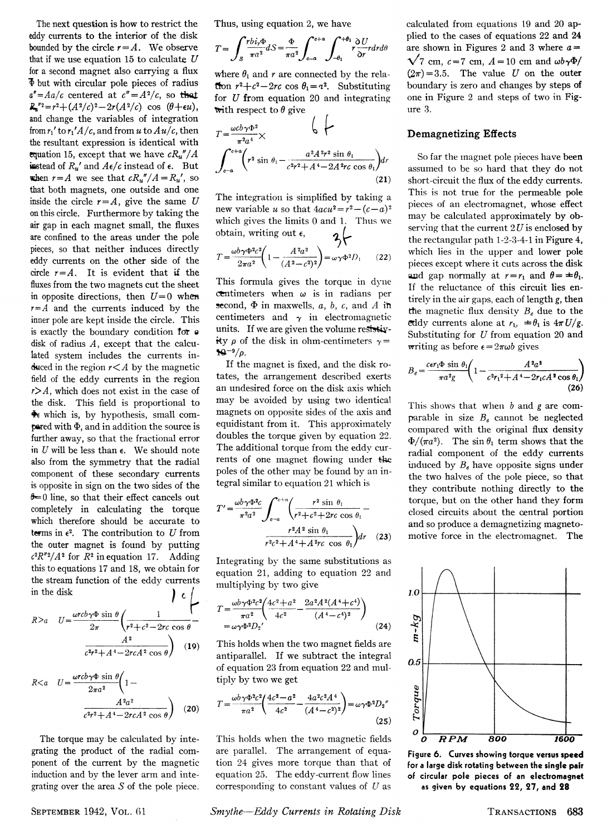The next question is how to restrict the eddy currents to the interior of the disk bounded by the circle  $r = A$ . We observe that if we use equation **15** to calculate *U*  for a second magnet also carrying a flux  $\Phi$  but with circular pole pieces of radius  $a'' = Aa/c$  centered at  $c'' = A^2/c$ , so that  $R_a''^2 = r^2 + (A^2/c)^2 - 2r(A^2/c) \cos(\theta + \epsilon u),$ and change the variables of integration from  $r_1$ ' to  $r_1$ ' A /c, and from u to  $Au/c$ , then the resultant expression is identical with equation 15, except that we have  $cR_u''/A$ instead of  $R_u'$  and  $A\epsilon/c$  instead of  $\epsilon$ . But when  $r = A$  we see that  $cR_u''/A = R_u'$ , so that both magnets, one outside and one inside the circle  $r = A$ , give the same U on this circle. Furthermore by taking the air gap in each magnet small, the fluxes are confined to the areas under the pole pieces, so that neither induces directly eddy currents on the other side of the circle  $r = A$ . It is evident that if the fluxes from the two magnets cut the sheet in opposite directions, then *U=0* when  $r = A$  and the currents induced by the inner pole are kept inside the circle. This is exactly the boundary condition for  $\theta$ disk of radius *A,* except that the calculated system includes the currents induced in the region  $r < A$  by the magnetic field of the eddy currents in the region  $r > A$ , which does not exist in the case of the disk. This field is proportional to  $\ddot{\bullet}$  which is, by hypothesis, small compared with Φ, and in addition the source is further away, so that the fractional error in *U* will be less than e. We should note also from the symmetry that the radial component of these secondary currents is opposite in sign on the two sides of the **&\*=0** line, so that their effect cancels out completely in calculating the torque which therefore should be accurate to terms in  $\epsilon^2$ . The contribution to U from the outer magnet is found by putting  $c^2 R''^2 / A^2$  for  $\overline{R}^2$  in equation 17. Adding this to equations **17** and **18,** we obtain for the stream function of the eddy currents in the disk  $\int_{c}$ 

$$
R>a \tU = \frac{\omega r c b \gamma \Phi \sin \theta}{2\pi} \left( \frac{1}{r^2 + c^2 - 2rc \cos \theta} - \frac{A^2}{c^2 r^2 + A^4 - 2rcA^2 \cos \theta} \right)
$$
 (19)

$$
R < a \quad U = \frac{\omega r c b \gamma \Phi \sin \theta}{2 \pi a^2} \left( 1 - \frac{A^2 a^2}{c^2 r^2 + A^4 - 2 r c A^2 \cos \theta} \right) \tag{20}
$$

The torque may be calculated by integrating the product of the radial component of the current by the magnetic induction and by the lever arm and integrating over the area S of the pole piece.

Thus, using equation **2,** we have

$$
T = \int_{S} \frac{rbi_r \Phi}{\pi a^2} dS = \frac{\Phi}{\pi a^2} \int_{c-a}^{c+a} \int_{-\theta_1}^{+\theta_1} r \frac{\partial U}{\partial r} r dr d\theta
$$

where  $\theta_1$  and r are connected by the relafrom  $r^2 + c^2 - 2rc \cos \theta_1 = a^2$ . Substituting for *U* from equation **20** and integrating with respect to  $\theta$  give

$$
T = \frac{\omega c b \gamma \Phi^2}{\pi^2 a^4} \times \qquad \qquad \downarrow \qquad \qquad \downarrow
$$
  

$$
\int_{c-a}^{c+a} \left( r^2 \sin \theta_1 - \frac{a^2 A^2 r^2 \sin \theta_1}{c^2 r^2 + A^4 - 2A^2 r c \cos \theta_1} \right) dr
$$
  
(21)

The integration is simplified by taking a new variable *u* so that  $4acu^2 = r^2 - (c-a)^2$ which gives the limits **0** and **1.** Thus we obtain, writing out  $\epsilon$ ,  $2 -$ 

$$
T = \frac{\omega b \gamma \Phi^2 c^2}{2\pi a^2} \left( 1 - \frac{A^2 a^2}{(A^2 - c^2)^2} \right) = \omega \gamma \Phi^2 D_1 \qquad (22)
$$

This formula gives the torque in dyne centimeters when  $\omega$  is in radians per second, Φ in maxwells, *a, b, c,* and *A* in centimeters and  $\gamma$  in electromagnetic units. If we are given the volume resistivity  $\rho$  of the disk in ohm-centimeters  $\gamma =$  $\mathbf{N}^{-9}/\rho$ .

If the magnet is fixed, and the disk rotates, the arrangement described exerts an undesired force on the disk axis which may be avoided by using two identical magnets on opposite sides of the axis and equidistant from it. This approximately doubles the torque given by equation **22.**  The additional torque from the eddy currents of one magnet flowing under the poles of the other may be found by an integral similar to equation **21** w T hich is

$$
T' = \frac{\omega b \gamma \Phi^2 c}{\pi^2 a^2} \int_{c-a}^{c+a} \left( \frac{r^2 \sin \theta_1}{r^2 + c^2 + 2rc \cos \theta_1} - \frac{r^2 A^2 \sin \theta_1}{r^2 c^2 + A^4 + A^2 rc \cos \theta_1} \right) dr \quad (23)
$$

Integrating by the same substitutions as equation **21,** adding to equation **22** and multiplying by two give

$$
T = \frac{\omega b \gamma \Phi^2 c^2 \left( 4c^2 + a^2 - \frac{2a^2 A^2 (A^4 + c^4)}{(A^4 - c^4)^2} \right)}{m \phi^2 D_2}
$$
\n
$$
= \omega \gamma \Phi^2 D_2
$$
\n(24)

This holds when the two magnet fields are antiparallel. If we subtract the integral of equation **23** from equation **22** and multiply by two we get

$$
(20) \t T = \frac{\omega^b \gamma \Phi^2 c^2}{\pi a^2} \left( \frac{4c^2 - a^2}{4c^2} - \frac{4a^2 c^2 A^4}{(A^4 - c^2)^2} \right) = \omega \gamma \Phi^2 D_2''
$$
\n(25)

This holds when the two magnetic fields are parallel. The arrangement of equation **24** gives more torque than that of equation **25.** The eddy-current flow lines corresponding to constant values of *U* as calculated from equations **19** and **20** applied to the cases of equations **22** and **24**  are shown in Figures 2 and 3 where  $a =$  $\sqrt{7}$  cm,  $c=7$  cm,  $A=10$  cm and  $\omega b \gamma \Phi$ /  $(2\pi) = 3.5$ . The value *U* on the outer boundary is zero and changes by steps of one in Figure **2** and steps of two in Figure **3.** 

#### **Demagnetizing Effects**

So far the magnet pole pieces have been assumed to be so hard that they do not short-circuit the flux of the eddy currents. This is not true for the permeable pole pieces of an electromagnet, whose effect may be calculated approximately by observing that the current  $2U$  is enclosed by the rectangular path **1-2-3-4-1** in Figure 4, which lies in the upper and lower pole pieces except where it cuts across the disk and gap normally at  $r = r_1$  and  $\theta = \pm \theta_1$ . If the reluctance of this circuit lies entirely in the air gaps, each of length *g,* then the magnetic flux density  $B_e$  due to the eddy currents alone at  $r_h = \theta_i$  is  $4\pi U/g$ . Substituting for *U* from equation **20** and writing as before *e =* **2πω&** gives

$$
B_e = \frac{c\epsilon r_1 \Phi \sin \theta_1}{\pi a^2 g} \left( 1 - \frac{A^2 a^2}{c^2 r_1^2 + A^4 - 2r_1 c A^2 \cos \theta_1} \right)
$$
(26)

This shows that when *b* and *g* are comparable in size *B<sup>e</sup>* cannot be neglected compared with the original flux density  $\Phi/(\pi a^2)$ . The sin  $\theta_1$  term shows that the radial component of the eddy currents induced by *B<sup>e</sup>* have opposite signs under the two halves of the pole piece, so that they contribute nothing directly to the torque, but on the other hand they form closed circuits about the central portion and so produce a demagnetizing magnetomotive force in the electromagnet. The



**Figure 6. Curves showing torque versus speed For a large disk rotating between the single pair of circular pole pieces of an electromagnet as given by equations 22, 27, and 28** 

SEPTEMBER 1942, VOL. 61 **Smythe—Eddy Currents in Rotating Disk TRANSACTIONS** 683